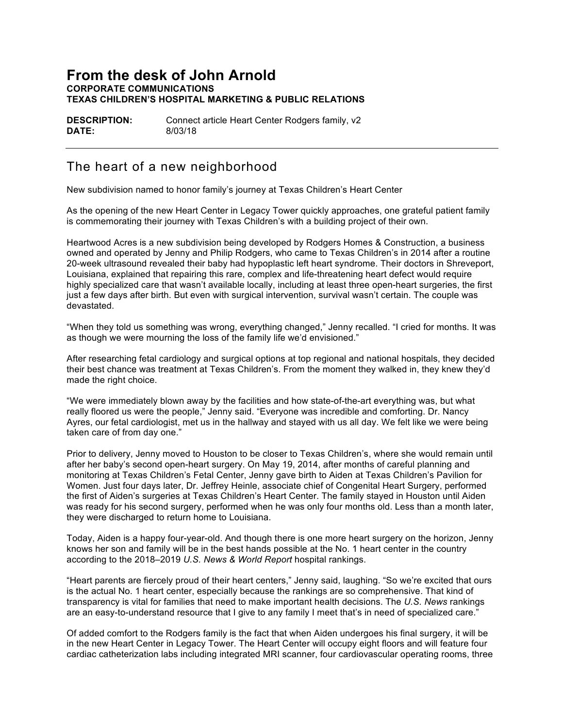## **From the desk of John Arnold CORPORATE COMMUNICATIONS TEXAS CHILDREN'S HOSPITAL MARKETING & PUBLIC RELATIONS**

**DESCRIPTION:** Connect article Heart Center Rodgers family, v2 **DATE:** 8/03/18

## The heart of a new neighborhood

New subdivision named to honor family's journey at Texas Children's Heart Center

As the opening of the new Heart Center in Legacy Tower quickly approaches, one grateful patient family is commemorating their journey with Texas Children's with a building project of their own.

Heartwood Acres is a new subdivision being developed by Rodgers Homes & Construction, a business owned and operated by Jenny and Philip Rodgers, who came to Texas Children's in 2014 after a routine 20-week ultrasound revealed their baby had hypoplastic left heart syndrome. Their doctors in Shreveport, Louisiana, explained that repairing this rare, complex and life-threatening heart defect would require highly specialized care that wasn't available locally, including at least three open-heart surgeries, the first just a few days after birth. But even with surgical intervention, survival wasn't certain. The couple was devastated.

"When they told us something was wrong, everything changed," Jenny recalled. "I cried for months. It was as though we were mourning the loss of the family life we'd envisioned."

After researching fetal cardiology and surgical options at top regional and national hospitals, they decided their best chance was treatment at Texas Children's. From the moment they walked in, they knew they'd made the right choice.

"We were immediately blown away by the facilities and how state-of-the-art everything was, but what really floored us were the people," Jenny said. "Everyone was incredible and comforting. Dr. Nancy Ayres, our fetal cardiologist, met us in the hallway and stayed with us all day. We felt like we were being taken care of from day one."

Prior to delivery, Jenny moved to Houston to be closer to Texas Children's, where she would remain until after her baby's second open-heart surgery. On May 19, 2014, after months of careful planning and monitoring at Texas Children's Fetal Center, Jenny gave birth to Aiden at Texas Children's Pavilion for Women. Just four days later, Dr. Jeffrey Heinle, associate chief of Congenital Heart Surgery, performed the first of Aiden's surgeries at Texas Children's Heart Center. The family stayed in Houston until Aiden was ready for his second surgery, performed when he was only four months old. Less than a month later, they were discharged to return home to Louisiana.

Today, Aiden is a happy four-year-old. And though there is one more heart surgery on the horizon, Jenny knows her son and family will be in the best hands possible at the No. 1 heart center in the country according to the 2018–2019 *U.S. News & World Report* hospital rankings.

"Heart parents are fiercely proud of their heart centers," Jenny said, laughing. "So we're excited that ours is the actual No. 1 heart center, especially because the rankings are so comprehensive. That kind of transparency is vital for families that need to make important health decisions. The *U.S. News* rankings are an easy-to-understand resource that I give to any family I meet that's in need of specialized care."

Of added comfort to the Rodgers family is the fact that when Aiden undergoes his final surgery, it will be in the new Heart Center in Legacy Tower. The Heart Center will occupy eight floors and will feature four cardiac catheterization labs including integrated MRI scanner, four cardiovascular operating rooms, three